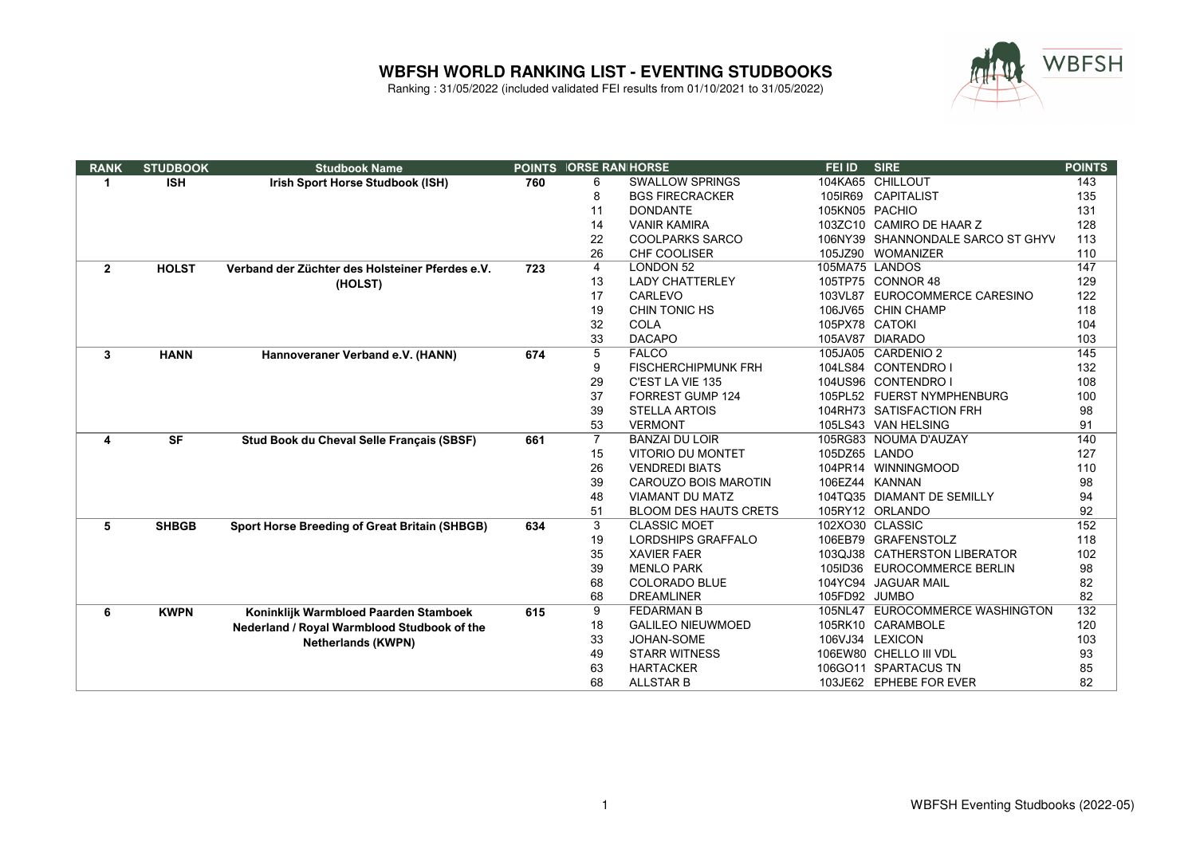

| <b>RANK</b>  | <b>STUDBOOK</b> | <b>Studbook Name</b>                                 | <b>POINTS</b> | <b>IORSE RAN HORSE</b> |                              | FEI ID         | <b>SIRE</b>                       | <b>POINTS</b> |
|--------------|-----------------|------------------------------------------------------|---------------|------------------------|------------------------------|----------------|-----------------------------------|---------------|
| 1            | <b>ISH</b>      | Irish Sport Horse Studbook (ISH)                     | 760           | 6                      | <b>SWALLOW SPRINGS</b>       |                | 104KA65 CHILLOUT                  | 143           |
|              |                 |                                                      |               | 8                      | <b>BGS FIRECRACKER</b>       | 105IR69        | <b>CAPITALIST</b>                 | 135           |
|              |                 |                                                      |               | 11                     | <b>DONDANTE</b>              | 105KN05 PACHIO |                                   | 131           |
|              |                 |                                                      |               | 14                     | <b>VANIR KAMIRA</b>          |                | 103ZC10 CAMIRO DE HAAR Z          | 128           |
|              |                 |                                                      |               | 22                     | <b>COOLPARKS SARCO</b>       |                | 106NY39 SHANNONDALE SARCO ST GHYV | 113           |
|              |                 |                                                      |               | 26                     | <b>CHF COOLISER</b>          |                | 105JZ90 WOMANIZER                 | 110           |
| $\mathbf{2}$ | <b>HOLST</b>    | Verband der Züchter des Holsteiner Pferdes e.V.      | 723           | 4                      | <b>LONDON 52</b>             | 105MA75 LANDOS |                                   | 147           |
|              |                 | (HOLST)                                              |               | 13                     | <b>LADY CHATTERLEY</b>       |                | 105TP75 CONNOR 48                 | 129           |
|              |                 |                                                      |               | 17                     | CARLEVO                      |                | 103VL87 EUROCOMMERCE CARESINO     | 122           |
|              |                 |                                                      |               | 19                     | CHIN TONIC HS                |                | 106JV65 CHIN CHAMP                | 118           |
|              |                 |                                                      |               | 32                     | <b>COLA</b>                  | 105PX78 CATOKI |                                   | 104           |
|              |                 |                                                      |               | 33                     | <b>DACAPO</b>                |                | 105AV87 DIARADO                   | 103           |
| 3            | <b>HANN</b>     | Hannoveraner Verband e.V. (HANN)                     | 674           | 5                      | <b>FALCO</b>                 |                | 105JA05 CARDENIO 2                | 145           |
|              |                 |                                                      |               | 9                      | <b>FISCHERCHIPMUNK FRH</b>   |                | 104LS84 CONTENDRO I               | 132           |
|              |                 |                                                      |               | 29                     | C'EST LA VIE 135             |                | 104US96 CONTENDRO I               | 108           |
|              |                 |                                                      |               | 37                     | <b>FORREST GUMP 124</b>      |                | 105PL52 FUERST NYMPHENBURG        | 100           |
|              |                 |                                                      |               | 39                     | <b>STELLA ARTOIS</b>         |                | 104RH73 SATISFACTION FRH          | 98            |
|              |                 |                                                      |               | 53                     | <b>VERMONT</b>               |                | 105LS43 VAN HELSING               | 91            |
| 4            | <b>SF</b>       | Stud Book du Cheval Selle Français (SBSF)            | 661           | $\overline{7}$         | <b>BANZAI DU LOIR</b>        |                | 105RG83 NOUMA D'AUZAY             | 140           |
|              |                 |                                                      |               | 15                     | <b>VITORIO DU MONTET</b>     | 105DZ65 LANDO  |                                   | 127           |
|              |                 |                                                      |               | 26                     | <b>VENDREDI BIATS</b>        |                | 104PR14 WINNINGMOOD               | 110           |
|              |                 |                                                      |               | 39                     | <b>CAROUZO BOIS MAROTIN</b>  |                | 106EZ44 KANNAN                    | 98            |
|              |                 |                                                      |               | 48                     | <b>VIAMANT DU MATZ</b>       |                | 104TQ35 DIAMANT DE SEMILLY        | 94            |
|              |                 |                                                      |               | 51                     | <b>BLOOM DES HAUTS CRETS</b> |                | 105RY12 ORLANDO                   | 92            |
| 5            | <b>SHBGB</b>    | <b>Sport Horse Breeding of Great Britain (SHBGB)</b> | 634           | 3                      | <b>CLASSIC MOET</b>          |                | 102XO30 CLASSIC                   | 152           |
|              |                 |                                                      |               | 19                     | <b>LORDSHIPS GRAFFALO</b>    |                | 106EB79 GRAFENSTOLZ               | 118           |
|              |                 |                                                      |               | 35                     | <b>XAVIER FAER</b>           |                | 103QJ38 CATHERSTON LIBERATOR      | 102           |
|              |                 |                                                      |               | 39                     | <b>MENLO PARK</b>            | 105ID36        | <b>EUROCOMMERCE BERLIN</b>        | 98            |
|              |                 |                                                      |               | 68                     | <b>COLORADO BLUE</b>         |                | 104YC94 JAGUAR MAIL               | 82            |
|              |                 |                                                      |               | 68                     | <b>DREAMLINER</b>            | 105FD92 JUMBO  |                                   | 82            |
| 6            | <b>KWPN</b>     | Koninklijk Warmbloed Paarden Stamboek                | 615           | 9                      | <b>FEDARMAN B</b>            |                | 105NL47 EUROCOMMERCE WASHINGTON   | 132           |
|              |                 | Nederland / Royal Warmblood Studbook of the          |               | 18                     | <b>GALILEO NIEUWMOED</b>     |                | 105RK10 CARAMBOLE                 | 120           |
|              |                 | <b>Netherlands (KWPN)</b>                            |               | 33                     | JOHAN-SOME                   |                | 106VJ34 LEXICON                   | 103           |
|              |                 |                                                      |               | 49                     | <b>STARR WITNESS</b>         |                | 106EW80 CHELLO III VDL            | 93            |
|              |                 |                                                      |               | 63                     | <b>HARTACKER</b>             |                | 106GO11 SPARTACUS TN              | 85            |
|              |                 |                                                      |               | 68                     | <b>ALLSTAR B</b>             |                | 103JE62 EPHEBE FOR EVER           | 82            |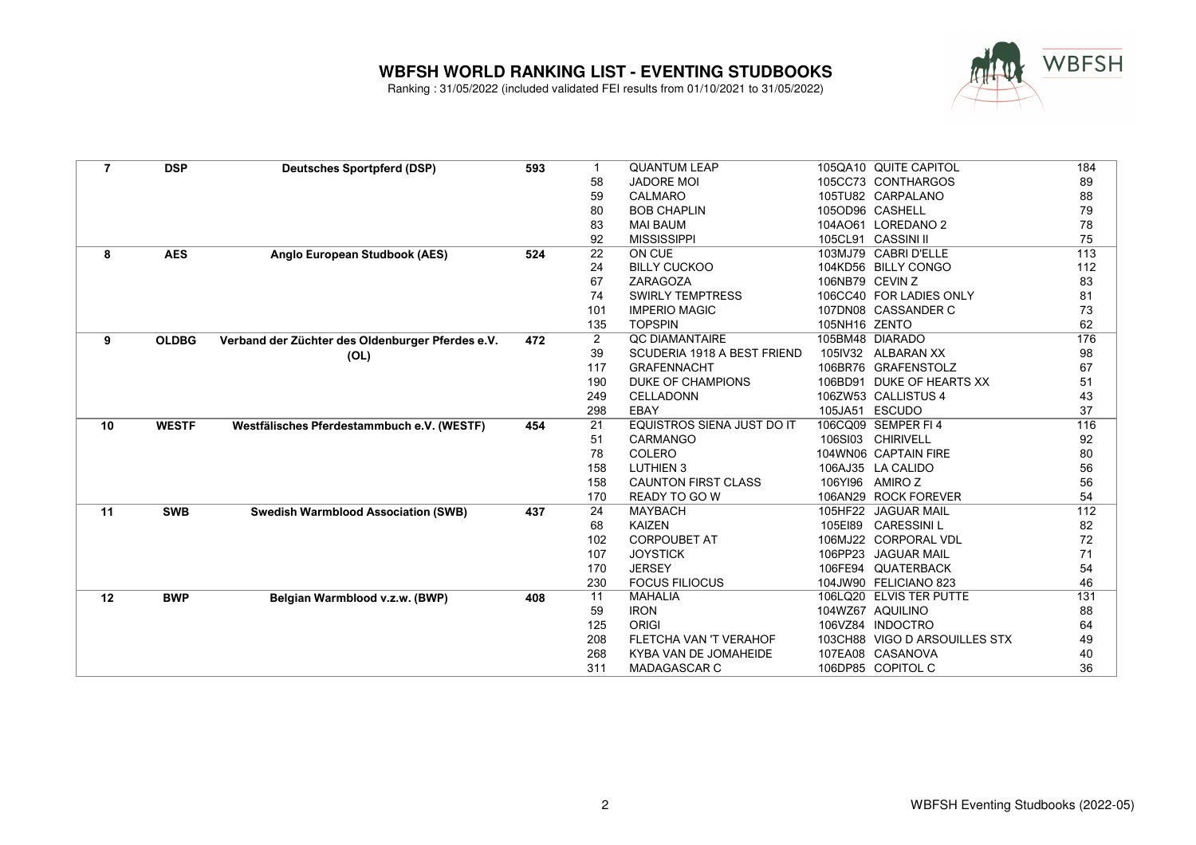

| $\overline{7}$ | <b>DSP</b>   | <b>Deutsches Sportpferd (DSP)</b>                | 593 |                | <b>QUANTUM LEAP</b>               |                 | 105QA10 QUITE CAPITOL         | 184 |
|----------------|--------------|--------------------------------------------------|-----|----------------|-----------------------------------|-----------------|-------------------------------|-----|
|                |              |                                                  |     | 58             | <b>JADORE MOI</b>                 |                 | 105CC73 CONTHARGOS            | 89  |
|                |              |                                                  |     | 59             | <b>CALMARO</b>                    |                 | 105TU82 CARPALANO             | 88  |
|                |              |                                                  |     | 80             | <b>BOB CHAPLIN</b>                |                 | 105OD96 CASHELL               | 79  |
|                |              |                                                  |     | 83             | <b>MAI BAUM</b>                   |                 | 104AO61 LOREDANO 2            | 78  |
|                |              |                                                  |     | 92             | <b>MISSISSIPPI</b>                |                 | 105CL91 CASSINI II            | 75  |
| 8              | <b>AES</b>   | Anglo European Studbook (AES)                    | 524 | 22             | ON CUE                            |                 | 103MJ79 CABRI D'ELLE          | 113 |
|                |              |                                                  |     | 24             | <b>BILLY CUCKOO</b>               |                 | 104KD56 BILLY CONGO           | 112 |
|                |              |                                                  |     | 67             | ZARAGOZA                          | 106NB79 CEVIN Z |                               | 83  |
|                |              |                                                  |     | 74             | <b>SWIRLY TEMPTRESS</b>           |                 | 106CC40 FOR LADIES ONLY       | 81  |
|                |              |                                                  |     | 101            | <b>IMPERIO MAGIC</b>              |                 | 107DN08 CASSANDER C           | 73  |
|                |              |                                                  |     | 135            | <b>TOPSPIN</b>                    | 105NH16 ZENTO   |                               | 62  |
| 9              | <b>OLDBG</b> | Verband der Züchter des Oldenburger Pferdes e.V. | 472 | $\overline{2}$ | QC DIAMANTAIRE                    |                 | 105BM48 DIARADO               | 176 |
|                |              | (OL)                                             |     | 39             | SCUDERIA 1918 A BEST FRIEND       |                 | 105IV32 ALBARAN XX            | 98  |
|                |              |                                                  |     | 117            | <b>GRAFENNACHT</b>                |                 | 106BR76 GRAFENSTOLZ           | 67  |
|                |              |                                                  |     | 190            | <b>DUKE OF CHAMPIONS</b>          |                 | 106BD91 DUKE OF HEARTS XX     | 51  |
|                |              |                                                  |     | 249            | CELLADONN                         |                 | 106ZW53 CALLISTUS 4           | 43  |
|                |              |                                                  |     | 298            | EBAY                              | 105JA51 ESCUDO  |                               | 37  |
| 10             | <b>WESTF</b> | Westfälisches Pferdestammbuch e.V. (WESTF)       | 454 | 21             | <b>EQUISTROS SIENA JUST DO IT</b> |                 | 106CQ09 SEMPER FI 4           | 116 |
|                |              |                                                  |     | 51             | CARMANGO                          |                 | 106SI03 CHIRIVELL             | 92  |
|                |              |                                                  |     | 78             | COLERO                            |                 | 104WN06 CAPTAIN FIRE          | 80  |
|                |              |                                                  |     | 158            | <b>LUTHIEN 3</b>                  |                 | 106AJ35 LA CALIDO             | 56  |
|                |              |                                                  |     | 158            | <b>CAUNTON FIRST CLASS</b>        |                 | 106YI96 AMIROZ                | 56  |
|                |              |                                                  |     | 170            | <b>READY TO GO W</b>              |                 | 106AN29 ROCK FOREVER          | 54  |
| 11             | <b>SWB</b>   | <b>Swedish Warmblood Association (SWB)</b>       | 437 | 24             | <b>MAYBACH</b>                    |                 | 105HF22 JAGUAR MAIL           | 112 |
|                |              |                                                  |     | 68             | <b>KAIZEN</b>                     |                 | 105E189 CARESSINIL            | 82  |
|                |              |                                                  |     | 102            | <b>CORPOUBET AT</b>               |                 | 106MJ22 CORPORAL VDL          | 72  |
|                |              |                                                  |     | 107            | <b>JOYSTICK</b>                   |                 | 106PP23 JAGUAR MAIL           | 71  |
|                |              |                                                  |     | 170            | <b>JERSEY</b>                     |                 | 106FE94 QUATERBACK            | 54  |
|                |              |                                                  |     | 230            | <b>FOCUS FILIOCUS</b>             |                 | 104JW90 FELICIANO 823         | 46  |
| 12             | <b>BWP</b>   | Belgian Warmblood v.z.w. (BWP)                   | 408 | 11             | <b>MAHALIA</b>                    |                 | 106LQ20 ELVIS TER PUTTE       | 131 |
|                |              |                                                  |     | 59             | <b>IRON</b>                       |                 | 104WZ67 AQUILINO              | 88  |
|                |              |                                                  |     | 125            | <b>ORIGI</b>                      |                 | 106VZ84 INDOCTRO              | 64  |
|                |              |                                                  |     | 208            | FLETCHA VAN 'T VERAHOF            |                 | 103CH88 VIGO D ARSOUILLES STX | 49  |
|                |              |                                                  |     | 268            | KYBA VAN DE JOMAHEIDE             |                 | 107EA08 CASANOVA              | 40  |
|                |              |                                                  |     | 311            | MADAGASCAR C                      |                 | 106DP85 COPITOL C             | 36  |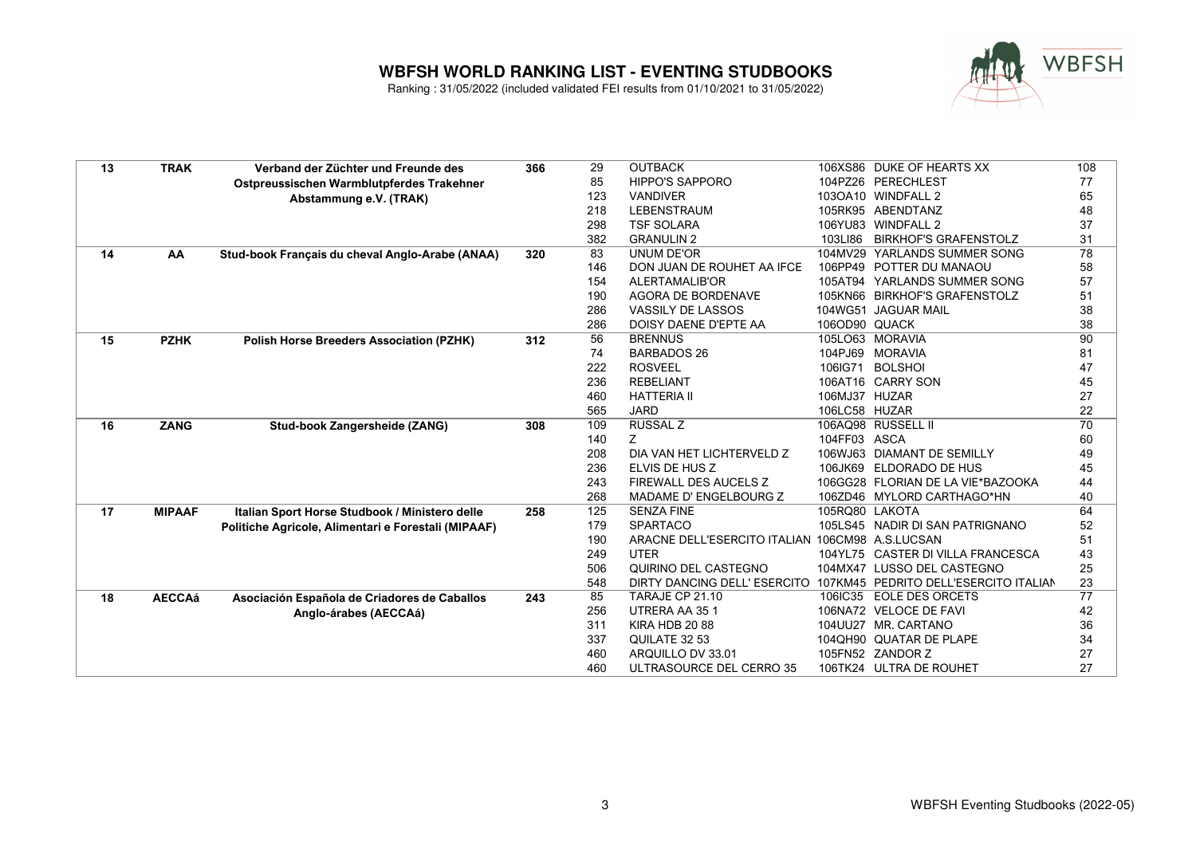

| 13 | <b>TRAK</b>   | Verband der Züchter und Freunde des                 | 366 | 29  | <b>OUTBACK</b>                                                     |                | 106XS86 DUKE OF HEARTS XX         | 108             |
|----|---------------|-----------------------------------------------------|-----|-----|--------------------------------------------------------------------|----------------|-----------------------------------|-----------------|
|    |               | Ostpreussischen Warmblutpferdes Trakehner           |     | 85  | <b>HIPPO'S SAPPORO</b>                                             |                | 104PZ26 PERECHLEST                | 77              |
|    |               | Abstammung e.V. (TRAK)                              |     | 123 | <b>VANDIVER</b>                                                    |                | 103OA10 WINDFALL 2                | 65              |
|    |               |                                                     |     | 218 | <b>LEBENSTRAUM</b>                                                 |                | 105RK95 ABENDTANZ                 | 48              |
|    |               |                                                     |     | 298 | <b>TSF SOLARA</b>                                                  |                | 106YU83 WINDFALL 2                | 37              |
|    |               |                                                     |     | 382 | <b>GRANULIN 2</b>                                                  |                | 103LI86 BIRKHOF'S GRAFENSTOLZ     | 31              |
| 14 | AA            | Stud-book Français du cheval Anglo-Arabe (ANAA)     | 320 | 83  | <b>UNUM DE'OR</b>                                                  |                | 104MV29 YARLANDS SUMMER SONG      | 78              |
|    |               |                                                     |     | 146 | DON JUAN DE ROUHET AA IFCE                                         |                | 106PP49 POTTER DU MANAOU          | 58              |
|    |               |                                                     |     | 154 | ALERTAMALIB'OR                                                     |                | 105AT94 YARLANDS SUMMER SONG      | 57              |
|    |               |                                                     |     | 190 | <b>AGORA DE BORDENAVE</b>                                          |                | 105KN66 BIRKHOF'S GRAFENSTOLZ     | 51              |
|    |               |                                                     |     | 286 | <b>VASSILY DE LASSOS</b>                                           |                | 104WG51 JAGUAR MAIL               | 38              |
|    |               |                                                     |     | 286 | DOISY DAENE D'EPTE AA                                              | 106OD90 QUACK  |                                   | 38              |
| 15 | <b>PZHK</b>   | <b>Polish Horse Breeders Association (PZHK)</b>     | 312 | 56  | <b>BRENNUS</b>                                                     |                | 105LO63 MORAVIA                   | 90              |
|    |               |                                                     |     | 74  | <b>BARBADOS 26</b>                                                 |                | 104PJ69 MORAVIA                   | 81              |
|    |               |                                                     |     | 222 | <b>ROSVEEL</b>                                                     | 106IG71        | <b>BOLSHOI</b>                    | 47              |
|    |               |                                                     |     | 236 | <b>REBELIANT</b>                                                   |                | 106AT16 CARRY SON                 | 45              |
|    |               |                                                     |     | 460 | <b>HATTERIA II</b>                                                 | 106MJ37 HUZAR  |                                   | 27              |
|    |               |                                                     |     | 565 | <b>JARD</b>                                                        | 106LC58 HUZAR  |                                   | 22              |
| 16 | <b>ZANG</b>   | Stud-book Zangersheide (ZANG)                       | 308 | 109 | <b>RUSSAL Z</b>                                                    |                | 106AQ98 RUSSELL II                | $\overline{70}$ |
|    |               |                                                     |     | 140 | Ζ                                                                  | 104FF03 ASCA   |                                   | 60              |
|    |               |                                                     |     | 208 | DIA VAN HET LICHTERVELD Z                                          |                | 106WJ63 DIAMANT DE SEMILLY        | 49              |
|    |               |                                                     |     | 236 | ELVIS DE HUS Z                                                     |                | 106JK69 ELDORADO DE HUS           | 45              |
|    |               |                                                     |     | 243 | FIREWALL DES AUCELS Z                                              |                | 106GG28 FLORIAN DE LA VIE*BAZOOKA | 44              |
|    |               |                                                     |     | 268 | MADAME D' ENGELBOURG Z                                             |                | 106ZD46 MYLORD CARTHAGO*HN        | 40              |
| 17 | <b>MIPAAF</b> | Italian Sport Horse Studbook / Ministero delle      | 258 | 125 | <b>SENZA FINE</b>                                                  | 105RQ80 LAKOTA |                                   | 64              |
|    |               | Politiche Agricole, Alimentari e Forestali (MIPAAF) |     | 179 | <b>SPARTACO</b>                                                    |                | 105LS45 NADIR DI SAN PATRIGNANO   | 52              |
|    |               |                                                     |     | 190 | ARACNE DELL'ESERCITO ITALIAN 106CM98 A.S.LUCSAN                    |                |                                   | 51              |
|    |               |                                                     |     | 249 | <b>UTER</b>                                                        |                | 104YL75 CASTER DI VILLA FRANCESCA | 43              |
|    |               |                                                     |     | 506 | QUIRINO DEL CASTEGNO                                               |                | 104MX47 LUSSO DEL CASTEGNO        | 25              |
|    |               |                                                     |     | 548 | DIRTY DANCING DELL' ESERCITO 107KM45 PEDRITO DELL'ESERCITO ITALIAN |                |                                   | 23              |
| 18 | <b>AECCAá</b> | Asociación Española de Criadores de Caballos        | 243 | 85  | TARAJE CP 21.10                                                    |                | 106IC35 EOLE DES ORCETS           | 77              |
|    |               | Anglo-árabes (AECCAá)                               |     | 256 | UTRERA AA 351                                                      |                | 106NA72 VELOCE DE FAVI            | 42              |
|    |               |                                                     |     | 311 | KIRA HDB 2088                                                      |                | 104UU27 MR. CARTANO               | 36              |
|    |               |                                                     |     | 337 | QUILATE 32 53                                                      |                | 104QH90 QUATAR DE PLAPE           | 34              |
|    |               |                                                     |     | 460 | ARQUILLO DV 33.01                                                  |                | 105FN52 ZANDOR Z                  | 27              |
|    |               |                                                     |     | 460 | ULTRASOURCE DEL CERRO 35                                           |                | 106TK24 ULTRA DE ROUHET           | 27              |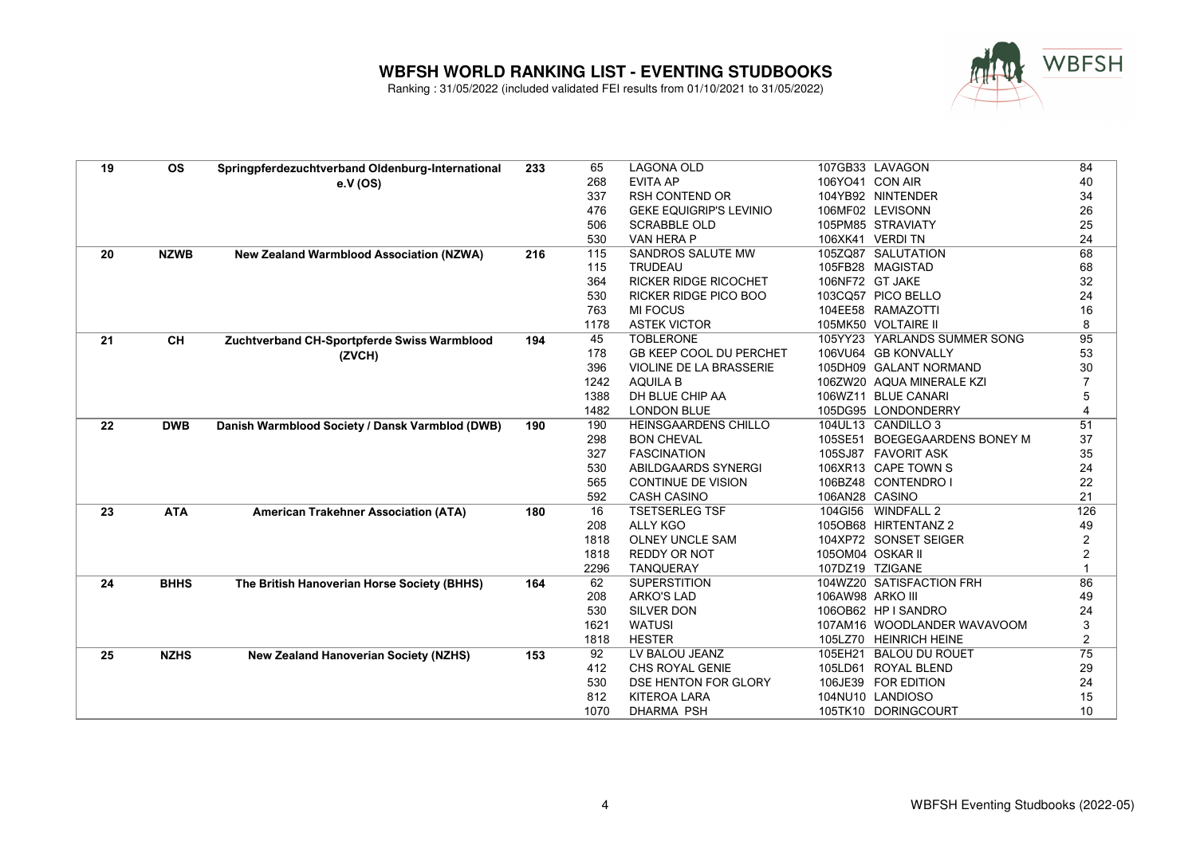

| 19 | <b>OS</b>   | Springpferdezuchtverband Oldenburg-International | 233 | 65         | <b>LAGONA OLD</b>               |                  | 107GB33 LAVAGON                                 | 84                                |
|----|-------------|--------------------------------------------------|-----|------------|---------------------------------|------------------|-------------------------------------------------|-----------------------------------|
|    |             | e.V (OS)                                         |     | 268        | <b>EVITA AP</b>                 |                  | 106YO41 CON AIR                                 | 40                                |
|    |             |                                                  |     | 337        | <b>RSH CONTEND OR</b>           |                  | 104YB92 NINTENDER                               | 34                                |
|    |             |                                                  |     | 476        | <b>GEKE EQUIGRIP'S LEVINIO</b>  |                  | 106MF02 LEVISONN                                | 26                                |
|    |             |                                                  |     | 506        | <b>SCRABBLE OLD</b>             |                  | 105PM85 STRAVIATY                               | 25                                |
|    |             |                                                  |     | 530        | VAN HERA P                      |                  | 106XK41 VERDI TN                                | 24                                |
| 20 | <b>NZWB</b> | <b>New Zealand Warmblood Association (NZWA)</b>  | 216 | 115        | SANDROS SALUTE MW               |                  | 105ZQ87 SALUTATION                              | 68                                |
|    |             |                                                  |     | 115        | <b>TRUDEAU</b>                  |                  | 105FB28 MAGISTAD                                | 68                                |
|    |             |                                                  |     | 364        | <b>RICKER RIDGE RICOCHET</b>    |                  | 106NF72 GT JAKE                                 | 32                                |
|    |             |                                                  |     | 530        | <b>RICKER RIDGE PICO BOO</b>    |                  | 103CQ57 PICO BELLO                              | 24                                |
|    |             |                                                  |     | 763        | <b>MI FOCUS</b>                 |                  | 104EE58 RAMAZOTTI                               | 16                                |
|    |             |                                                  |     | 1178       | <b>ASTEK VICTOR</b>             |                  | 105MK50 VOLTAIRE II                             | 8                                 |
| 21 | <b>CH</b>   | Zuchtverband CH-Sportpferde Swiss Warmblood      | 194 | 45         | <b>TOBLERONE</b>                |                  | 105YY23 YARLANDS SUMMER SONG                    | 95                                |
|    |             | (ZVCH)                                           |     | 178        | <b>GB KEEP COOL DU PERCHET</b>  |                  | 106VU64 GB KONVALLY                             | 53                                |
|    |             |                                                  |     | 396        | VIOLINE DE LA BRASSERIE         |                  | 105DH09 GALANT NORMAND                          | 30                                |
|    |             |                                                  |     | 1242       | <b>AQUILA B</b>                 |                  | 106ZW20 AQUA MINERALE KZI                       | $\overline{7}$                    |
|    |             |                                                  |     | 1388       | DH BLUE CHIP AA                 |                  | 106WZ11 BLUE CANARI                             | 5                                 |
|    |             |                                                  |     | 1482       | <b>LONDON BLUE</b>              |                  | 105DG95 LONDONDERRY                             | $\overline{4}$                    |
| 22 | <b>DWB</b>  | Danish Warmblood Society / Dansk Varmblod (DWB)  | 190 | 190        | <b>HEINSGAARDENS CHILLO</b>     |                  | 104UL13 CANDILLO 3                              | 51                                |
|    |             |                                                  |     | 298        | <b>BON CHEVAL</b>               |                  | 105SE51 BOEGEGAARDENS BONEY M                   | 37                                |
|    |             |                                                  |     | 327        | <b>FASCINATION</b>              |                  | 105SJ87 FAVORIT ASK                             | 35                                |
|    |             |                                                  |     | 530        | ABILDGAARDS SYNERGI             |                  | 106XR13 CAPE TOWN S                             | 24                                |
|    |             |                                                  |     | 565        | <b>CONTINUE DE VISION</b>       |                  | 106BZ48 CONTENDRO I                             | 22                                |
|    |             |                                                  |     | 592        | <b>CASH CASINO</b>              | 106AN28 CASINO   |                                                 | 21                                |
| 23 | <b>ATA</b>  | <b>American Trakehner Association (ATA)</b>      | 180 | 16         | <b>TSETSERLEG TSF</b>           |                  | 104GI56 WINDFALL 2                              | 126                               |
|    |             |                                                  |     | 208        | <b>ALLY KGO</b>                 |                  | 105OB68 HIRTENTANZ 2                            | 49                                |
|    |             |                                                  |     | 1818       | <b>OLNEY UNCLE SAM</b>          |                  | 104XP72 SONSET SEIGER                           | 2                                 |
|    |             |                                                  |     | 1818       | <b>REDDY OR NOT</b>             |                  | 1050M04 OSKAR II                                | $\overline{2}$                    |
|    |             |                                                  |     | 2296       | <b>TANQUERAY</b>                |                  | 107DZ19 TZIGANE                                 | $\mathbf{1}$                      |
| 24 | <b>BHHS</b> | The British Hanoverian Horse Society (BHHS)      | 164 | 62         | <b>SUPERSTITION</b>             |                  | 104WZ20 SATISFACTION FRH                        | 86                                |
|    |             |                                                  |     | 208        | <b>ARKO'S LAD</b>               | 106AW98 ARKO III |                                                 | 49                                |
|    |             |                                                  |     | 530        | <b>SILVER DON</b>               |                  | 106OB62 HP I SANDRO                             | 24                                |
|    |             |                                                  |     | 1621       | <b>WATUSI</b>                   |                  | 107AM16 WOODLANDER WAVAVOOM                     | $\ensuremath{\mathsf{3}}$         |
|    |             |                                                  |     | 1818<br>92 | <b>HESTER</b><br>LV BALOU JEANZ | 105EH21          | 105LZ70 HEINRICH HEINE<br><b>BALOU DU ROUET</b> | $\overline{c}$<br>$\overline{75}$ |
| 25 | <b>NZHS</b> | <b>New Zealand Hanoverian Society (NZHS)</b>     | 153 | 412        | CHS ROYAL GENIE                 |                  | 105LD61 ROYAL BLEND                             |                                   |
|    |             |                                                  |     | 530        | DSE HENTON FOR GLORY            |                  | 106JE39 FOR EDITION                             | 29<br>24                          |
|    |             |                                                  |     | 812        | <b>KITEROA LARA</b>             |                  | 104NU10 LANDIOSO                                | 15                                |
|    |             |                                                  |     | 1070       | <b>DHARMA PSH</b>               |                  | 105TK10 DORINGCOURT                             | 10                                |
|    |             |                                                  |     |            |                                 |                  |                                                 |                                   |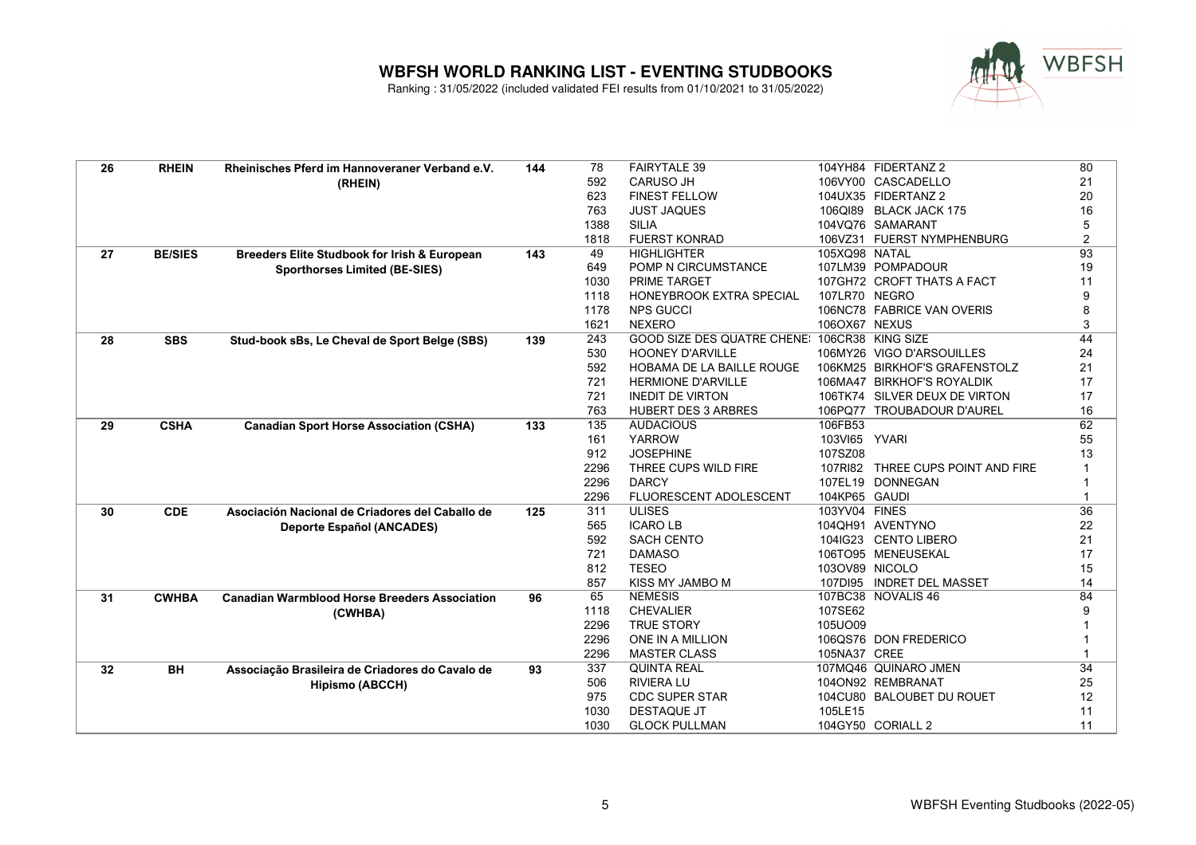

| 26 | <b>RHEIN</b>   | Rheinisches Pferd im Hannoveraner Verband e.V.       | 144 | 78          | <b>FAIRYTALE 39</b>                           |                | 104YH84 FIDERTANZ 2               | 80                 |
|----|----------------|------------------------------------------------------|-----|-------------|-----------------------------------------------|----------------|-----------------------------------|--------------------|
|    |                | (RHEIN)                                              |     | 592         | <b>CARUSO JH</b>                              |                | 106VY00 CASCADELLO                | 21                 |
|    |                |                                                      |     | 623         | <b>FINEST FELLOW</b>                          |                | 104UX35 FIDERTANZ 2               | 20                 |
|    |                |                                                      |     | 763         | <b>JUST JAQUES</b>                            |                | 106QI89 BLACK JACK 175            | 16                 |
|    |                |                                                      |     | 1388        | <b>SILIA</b>                                  |                | 104VQ76 SAMARANT                  | 5                  |
|    |                |                                                      |     | 1818        | <b>FUERST KONRAD</b>                          |                | 106VZ31 FUERST NYMPHENBURG        | $\overline{2}$     |
| 27 | <b>BE/SIES</b> | Breeders Elite Studbook for Irish & European         | 143 | 49          | <b>HIGHLIGHTER</b>                            | 105XQ98 NATAL  |                                   | 93                 |
|    |                | <b>Sporthorses Limited (BE-SIES)</b>                 |     | 649         | POMP N CIRCUMSTANCE                           |                | 107LM39 POMPADOUR                 | 19                 |
|    |                |                                                      |     | 1030        | <b>PRIME TARGET</b>                           |                | 107GH72 CROFT THATS A FACT        | 11                 |
|    |                |                                                      |     | 1118        | HONEYBROOK EXTRA SPECIAL                      | 107LR70 NEGRO  |                                   | 9                  |
|    |                |                                                      |     | 1178        | <b>NPS GUCCI</b>                              |                | 106NC78 FABRICE VAN OVERIS        | 8                  |
|    |                |                                                      |     | 1621        | <b>NEXERO</b>                                 | 106OX67 NEXUS  |                                   | 3                  |
| 28 | <b>SBS</b>     | Stud-book sBs, Le Cheval de Sport Belge (SBS)        | 139 | 243         | GOOD SIZE DES QUATRE CHENE! 106CR38 KING SIZE |                |                                   | 44                 |
|    |                |                                                      |     | 530         | <b>HOONEY D'ARVILLE</b>                       |                | 106MY26 VIGO D'ARSOUILLES         | 24                 |
|    |                |                                                      |     | 592         | HOBAMA DE LA BAILLE ROUGE                     |                | 106KM25 BIRKHOF'S GRAFENSTOLZ     | 21                 |
|    |                |                                                      |     | 721         | <b>HERMIONE D'ARVILLE</b>                     |                | 106MA47 BIRKHOF'S ROYALDIK        | 17                 |
|    |                |                                                      |     | 721         | <b>INEDIT DE VIRTON</b>                       |                | 106TK74 SILVER DEUX DE VIRTON     | 17                 |
|    |                |                                                      |     | 763         | <b>HUBERT DES 3 ARBRES</b>                    |                | 106PQ77 TROUBADOUR D'AUREL        | 16                 |
| 29 | <b>CSHA</b>    | <b>Canadian Sport Horse Association (CSHA)</b>       | 133 | 135         | <b>AUDACIOUS</b>                              | 106FB53        |                                   | 62                 |
|    |                |                                                      |     | 161         | <b>YARROW</b>                                 | 103VI65 YVARI  |                                   | 55                 |
|    |                |                                                      |     | 912         | <b>JOSEPHINE</b>                              | 107SZ08        |                                   | 13                 |
|    |                |                                                      |     | 2296        | THREE CUPS WILD FIRE                          |                | 107RI82 THREE CUPS POINT AND FIRE |                    |
|    |                |                                                      |     | 2296        | <b>DARCY</b>                                  | 107EL19        | <b>DONNEGAN</b>                   | $\mathbf 1$        |
|    |                |                                                      |     | 2296        | FLUORESCENT ADOLESCENT                        | 104KP65 GAUDI  |                                   | $\mathbf 1$        |
| 30 | <b>CDE</b>     | Asociación Nacional de Criadores del Caballo de      | 125 | 311         | <b>ULISES</b>                                 | 103YV04 FINES  |                                   | $\overline{36}$    |
|    |                | <b>Deporte Español (ANCADES)</b>                     |     | 565         | <b>ICARO LB</b>                               |                | 104QH91 AVENTYNO                  | 22                 |
|    |                |                                                      |     | 592         | <b>SACH CENTO</b>                             |                | 104IG23 CENTO LIBERO              | 21                 |
|    |                |                                                      |     | 721         | <b>DAMASO</b>                                 |                | 106TO95 MENEUSEKAL                | 17                 |
|    |                |                                                      |     | 812         | <b>TESEO</b>                                  | 103OV89 NICOLO |                                   | 15                 |
|    |                |                                                      |     | 857         | KISS MY JAMBO M                               |                | 107DI95 INDRET DEL MASSET         | 14                 |
| 31 | <b>CWHBA</b>   | <b>Canadian Warmblood Horse Breeders Association</b> | 96  | 65          | <b>NEMESIS</b>                                |                | 107BC38 NOVALIS 46                | 84                 |
|    |                | (CWHBA)                                              |     | 1118        | <b>CHEVALIER</b>                              | 107SE62        |                                   | 9                  |
|    |                |                                                      |     | 2296        | <b>TRUE STORY</b>                             | 105UO09        |                                   |                    |
|    |                |                                                      |     | 2296        | <b>ONE IN A MILLION</b>                       |                | 106QS76 DON FREDERICO             |                    |
|    |                |                                                      |     | 2296<br>337 | <b>MASTER CLASS</b><br><b>QUINTA REAL</b>     | 105NA37 CREE   | 107MQ46 QUINARO JMEN              | $\mathbf{1}$<br>34 |
| 32 | <b>BH</b>      | Associação Brasileira de Criadores do Cavalo de      | 93  | 506         | <b>RIVIERA LU</b>                             |                |                                   |                    |
|    |                | <b>Hipismo (ABCCH)</b>                               |     |             |                                               |                | 104ON92 REMBRANAT                 | 25                 |
|    |                |                                                      |     | 975<br>1030 | <b>CDC SUPER STAR</b><br><b>DESTAQUE JT</b>   | 105LE15        | 104CU80 BALOUBET DU ROUET         | 12                 |
|    |                |                                                      |     | 1030        | <b>GLOCK PULLMAN</b>                          |                | 104GY50 CORIALL 2                 | 11<br>11           |
|    |                |                                                      |     |             |                                               |                |                                   |                    |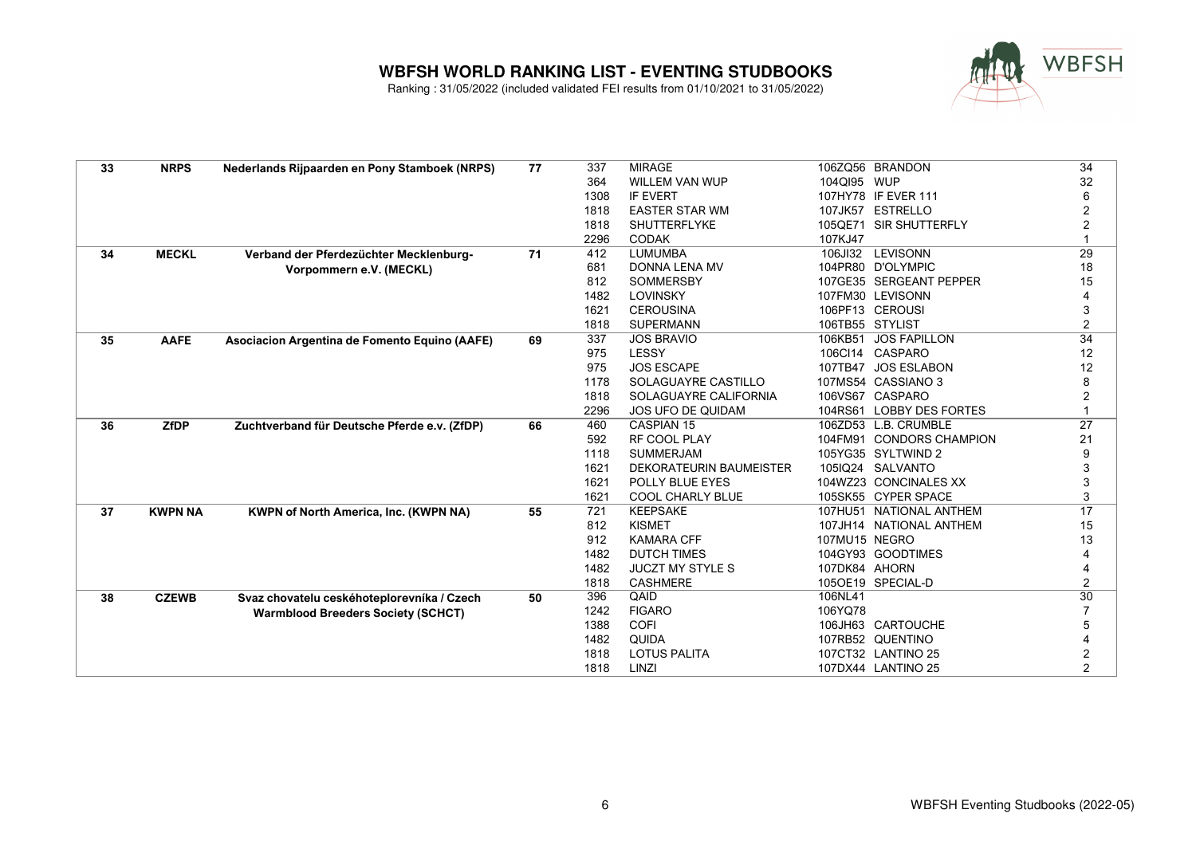

| 33 | <b>NRPS</b>    | Nederlands Rijpaarden en Pony Stamboek (NRPS) | 77 | 337  | <b>MIRAGE</b>                  |                 | 106ZQ56 BRANDON          | 34              |
|----|----------------|-----------------------------------------------|----|------|--------------------------------|-----------------|--------------------------|-----------------|
|    |                |                                               |    | 364  | <b>WILLEM VAN WUP</b>          | 104QI95 WUP     |                          | 32              |
|    |                |                                               |    | 1308 | <b>IF EVERT</b>                |                 | 107HY78 IF EVER 111      | 6               |
|    |                |                                               |    | 1818 | <b>EASTER STAR WM</b>          |                 | 107JK57 ESTRELLO         | $\overline{2}$  |
|    |                |                                               |    | 1818 | <b>SHUTTERFLYKE</b>            |                 | 105QE71 SIR SHUTTERFLY   | 2               |
|    |                |                                               |    | 2296 | <b>CODAK</b>                   | 107KJ47         |                          |                 |
| 34 | <b>MECKL</b>   | Verband der Pferdezüchter Mecklenburg-        | 71 | 412  | <b>LUMUMBA</b>                 |                 | 106JI32 LEVISONN         | 29              |
|    |                | Vorpommern e.V. (MECKL)                       |    | 681  | <b>DONNA LENA MV</b>           |                 | 104PR80 D'OLYMPIC        | 18              |
|    |                |                                               |    | 812  | <b>SOMMERSBY</b>               |                 | 107GE35 SERGEANT PEPPER  | 15              |
|    |                |                                               |    | 1482 | <b>LOVINSKY</b>                |                 | 107FM30 LEVISONN         |                 |
|    |                |                                               |    | 1621 | <b>CEROUSINA</b>               |                 | 106PF13 CEROUSI          | 3               |
|    |                |                                               |    | 1818 | <b>SUPERMANN</b>               | 106TB55 STYLIST |                          | 2               |
| 35 | <b>AAFE</b>    | Asociacion Argentina de Fomento Equino (AAFE) | 69 | 337  | <b>JOS BRAVIO</b>              | 106KB51         | <b>JOS FAPILLON</b>      | 34              |
|    |                |                                               |    | 975  | LESSY                          |                 | 106Cl14 CASPARO          | 12              |
|    |                |                                               |    | 975  | <b>JOS ESCAPE</b>              |                 | 107TB47 JOS ESLABON      | 12              |
|    |                |                                               |    | 1178 | SOLAGUAYRE CASTILLO            |                 | 107MS54 CASSIANO 3       | 8               |
|    |                |                                               |    | 1818 | SOLAGUAYRE CALIFORNIA          |                 | 106VS67 CASPARO          | $\overline{2}$  |
|    |                |                                               |    | 2296 | JOS UFO DE QUIDAM              |                 | 104RS61 LOBBY DES FORTES |                 |
| 36 | <b>ZfDP</b>    | Zuchtverband für Deutsche Pferde e.v. (ZfDP)  | 66 | 460  | <b>CASPIAN 15</b>              |                 | 106ZD53 L.B. CRUMBLE     | $\overline{27}$ |
|    |                |                                               |    | 592  | <b>RF COOL PLAY</b>            |                 | 104FM91 CONDORS CHAMPION | 21              |
|    |                |                                               |    | 1118 | <b>SUMMERJAM</b>               |                 | 105YG35 SYLTWIND 2       | 9               |
|    |                |                                               |    | 1621 | <b>DEKORATEURIN BAUMEISTER</b> |                 | 105IQ24 SALVANTO         | 3               |
|    |                |                                               |    | 1621 | POLLY BLUE EYES                |                 | 104WZ23 CONCINALES XX    | 3               |
|    |                |                                               |    | 1621 | <b>COOL CHARLY BLUE</b>        |                 | 105SK55 CYPER SPACE      | 3               |
| 37 | <b>KWPN NA</b> | <b>KWPN of North America, Inc. (KWPN NA)</b>  | 55 | 721  | <b>KEEPSAKE</b>                |                 | 107HU51 NATIONAL ANTHEM  | 17              |
|    |                |                                               |    | 812  | <b>KISMET</b>                  |                 | 107JH14 NATIONAL ANTHEM  | 15              |
|    |                |                                               |    | 912  | <b>KAMARA CFF</b>              | 107MU15 NEGRO   |                          | 13              |
|    |                |                                               |    | 1482 | <b>DUTCH TIMES</b>             |                 | 104GY93 GOODTIMES        |                 |
|    |                |                                               |    | 1482 | <b>JUCZT MY STYLE S</b>        | 107DK84 AHORN   |                          |                 |
|    |                |                                               |    | 1818 | <b>CASHMERE</b>                |                 | 105OE19 SPECIAL-D        | 2               |
| 38 | <b>CZEWB</b>   | Svaz chovatelu ceskéhoteplorevníka / Czech    | 50 | 396  | QAID                           | 106NL41         |                          | $\overline{30}$ |
|    |                | <b>Warmblood Breeders Society (SCHCT)</b>     |    | 1242 | <b>FIGARO</b>                  | 106YQ78         |                          | $\overline{7}$  |
|    |                |                                               |    | 1388 | <b>COFI</b>                    |                 | 106JH63 CARTOUCHE        | 5               |
|    |                |                                               |    | 1482 | <b>QUIDA</b>                   |                 | 107RB52 QUENTINO         |                 |
|    |                |                                               |    | 1818 | <b>LOTUS PALITA</b>            |                 | 107CT32 LANTINO 25       | 2               |
|    |                |                                               |    | 1818 | LINZI                          |                 | 107DX44 LANTINO 25       | $\overline{2}$  |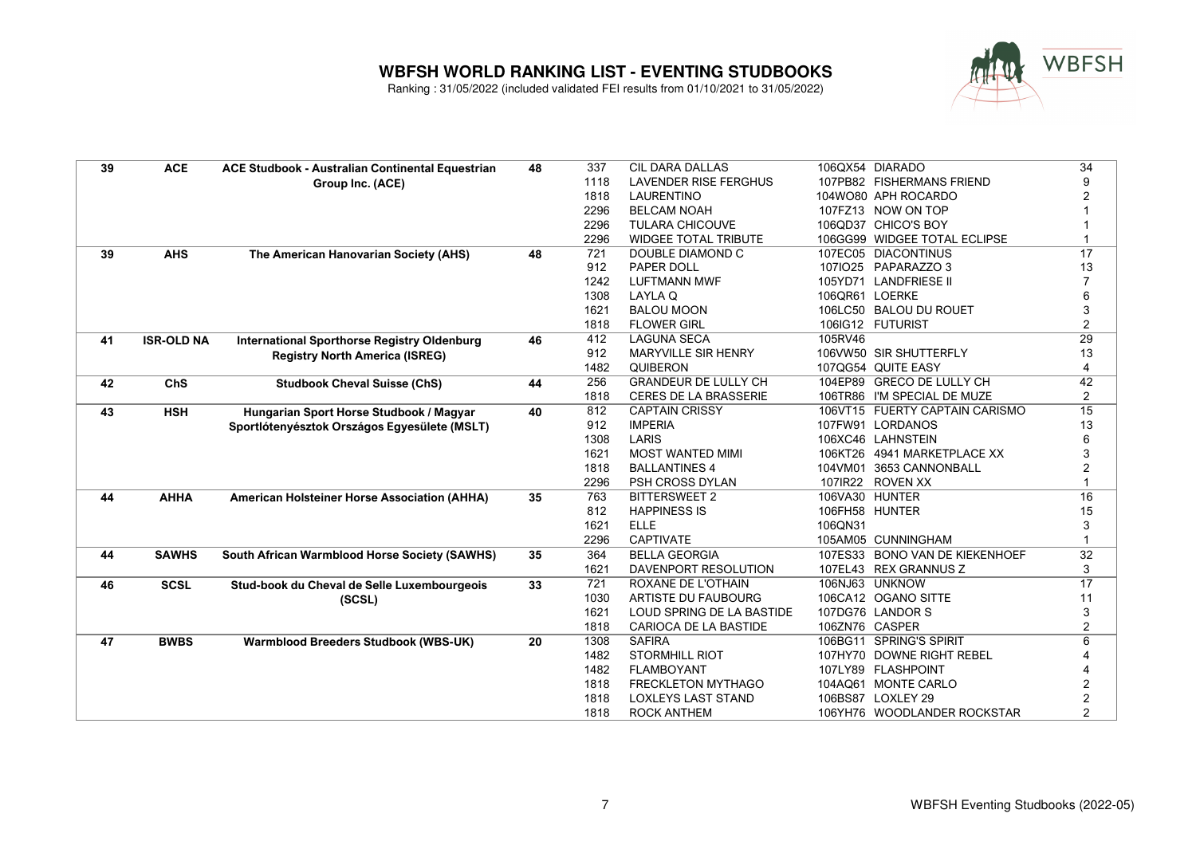

| 39 | <b>ACE</b>        | ACE Studbook - Australian Continental Equestrian   | 48 | 337  | <b>CIL DARA DALLAS</b>       |                | 106QX54 DIARADO                | 34              |
|----|-------------------|----------------------------------------------------|----|------|------------------------------|----------------|--------------------------------|-----------------|
|    |                   | Group Inc. (ACE)                                   |    | 1118 | <b>LAVENDER RISE FERGHUS</b> |                | 107PB82 FISHERMANS FRIEND      | 9               |
|    |                   |                                                    |    | 1818 | <b>LAURENTINO</b>            |                | 104WO80 APH ROCARDO            | 2               |
|    |                   |                                                    |    | 2296 | <b>BELCAM NOAH</b>           |                | 107FZ13 NOW ON TOP             |                 |
|    |                   |                                                    |    | 2296 | <b>TULARA CHICOUVE</b>       |                | 106QD37 CHICO'S BOY            |                 |
|    |                   |                                                    |    | 2296 | <b>WIDGEE TOTAL TRIBUTE</b>  |                | 106GG99 WIDGEE TOTAL ECLIPSE   |                 |
| 39 | <b>AHS</b>        | The American Hanovarian Society (AHS)              | 48 | 721  | DOUBLE DIAMOND C             |                | 107EC05 DIACONTINUS            | 17              |
|    |                   |                                                    |    | 912  | PAPER DOLL                   |                | 107IO25 PAPARAZZO 3            | 13              |
|    |                   |                                                    |    | 1242 | <b>LUFTMANN MWF</b>          |                | 105YD71 LANDFRIESE II          |                 |
|    |                   |                                                    |    | 1308 | LAYLA Q                      | 106QR61 LOERKE |                                | 6               |
|    |                   |                                                    |    | 1621 | <b>BALOU MOON</b>            |                | 106LC50 BALOU DU ROUET         | 3               |
|    |                   |                                                    |    | 1818 | <b>FLOWER GIRL</b>           |                | 106IG12 FUTURIST               | $\overline{2}$  |
| 41 | <b>ISR-OLD NA</b> | <b>International Sporthorse Registry Oldenburg</b> | 46 | 412  | <b>LAGUNA SECA</b>           | 105RV46        |                                | 29              |
|    |                   | <b>Registry North America (ISREG)</b>              |    | 912  | <b>MARYVILLE SIR HENRY</b>   |                | 106VW50 SIR SHUTTERFLY         | 13              |
|    |                   |                                                    |    | 1482 | QUIBERON                     |                | 107QG54 QUITE EASY             | 4               |
| 42 | <b>ChS</b>        | <b>Studbook Cheval Suisse (ChS)</b>                | 44 | 256  | <b>GRANDEUR DE LULLY CH</b>  |                | 104EP89 GRECO DE LULLY CH      | 42              |
|    |                   |                                                    |    | 1818 | <b>CERES DE LA BRASSERIE</b> |                | 106TR86 I'M SPECIAL DE MUZE    | 2               |
| 43 | <b>HSH</b>        | Hungarian Sport Horse Studbook / Magyar            | 40 | 812  | <b>CAPTAIN CRISSY</b>        |                | 106VT15 FUERTY CAPTAIN CARISMO | $\overline{15}$ |
|    |                   | Sportlótenyésztok Országos Egyesülete (MSLT)       |    | 912  | <b>IMPERIA</b>               |                | 107FW91 LORDANOS               | 13              |
|    |                   |                                                    |    | 1308 | LARIS                        |                | 106XC46 LAHNSTEIN              | 6               |
|    |                   |                                                    |    | 1621 | <b>MOST WANTED MIMI</b>      |                | 106KT26 4941 MARKETPLACE XX    | 3               |
|    |                   |                                                    |    | 1818 | <b>BALLANTINES 4</b>         |                | 104VM01 3653 CANNONBALL        | $\overline{2}$  |
|    |                   |                                                    |    | 2296 | PSH CROSS DYLAN              |                | 107IR22 ROVEN XX               | 1               |
| 44 | <b>AHHA</b>       | American Holsteiner Horse Association (AHHA)       | 35 | 763  | <b>BITTERSWEET 2</b>         | 106VA30 HUNTER |                                | 16              |
|    |                   |                                                    |    | 812  | <b>HAPPINESS IS</b>          |                | 106FH58 HUNTER                 | 15              |
|    |                   |                                                    |    | 1621 | <b>ELLE</b>                  | 106QN31        |                                | 3               |
|    |                   |                                                    |    | 2296 | <b>CAPTIVATE</b>             |                | 105AM05 CUNNINGHAM             |                 |
| 44 | <b>SAWHS</b>      | South African Warmblood Horse Society (SAWHS)      | 35 | 364  | <b>BELLA GEORGIA</b>         |                | 107ES33 BONO VAN DE KIEKENHOEF | 32              |
|    |                   |                                                    |    | 1621 | DAVENPORT RESOLUTION         |                | 107EL43 REX GRANNUS Z          | 3               |
| 46 | <b>SCSL</b>       | Stud-book du Cheval de Selle Luxembourgeois        | 33 | 721  | ROXANE DE L'OTHAIN           |                | 106NJ63 UNKNOW                 | 17              |
|    |                   | (SCSL)                                             |    | 1030 | ARTISTE DU FAUBOURG          |                | 106CA12 OGANO SITTE            | 11              |
|    |                   |                                                    |    | 1621 | LOUD SPRING DE LA BASTIDE    |                | 107DG76 LANDOR S               | 3               |
|    |                   |                                                    |    | 1818 | CARIOCA DE LA BASTIDE        | 106ZN76 CASPER |                                | $\overline{2}$  |
| 47 | <b>BWBS</b>       | <b>Warmblood Breeders Studbook (WBS-UK)</b>        | 20 | 1308 | <b>SAFIRA</b>                |                | 106BG11 SPRING'S SPIRIT        | 6               |
|    |                   |                                                    |    | 1482 | STORMHILL RIOT               |                | 107HY70 DOWNE RIGHT REBEL      |                 |
|    |                   |                                                    |    | 1482 | <b>FLAMBOYANT</b>            |                | 107LY89 FLASHPOINT             |                 |
|    |                   |                                                    |    | 1818 | <b>FRECKLETON MYTHAGO</b>    |                | 104AQ61 MONTE CARLO            | 2               |
|    |                   |                                                    |    | 1818 | <b>LOXLEYS LAST STAND</b>    |                | 106BS87 LOXLEY 29              | 2               |
|    |                   |                                                    |    | 1818 | <b>ROCK ANTHEM</b>           |                | 106YH76 WOODLANDER ROCKSTAR    | $\overline{2}$  |
|    |                   |                                                    |    |      |                              |                |                                |                 |